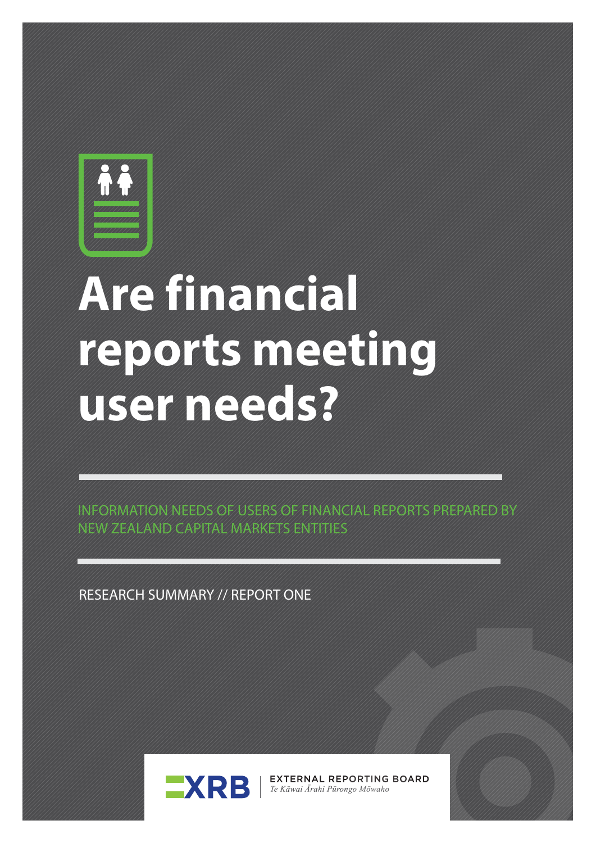

# **Are financial reports meeting user needs?**

INFORMATION NEEDS OF USERS OF FINANCIAL REPORTS PREPARED BY NEW ZEALAND CAPITAL MARKETS ENTITIES

RESEARCH SUMMARY // REPORT ONE



**EXTERNAL REPORTING BOARD** Te Kāwai Ārahi Pūrongo Mōwaho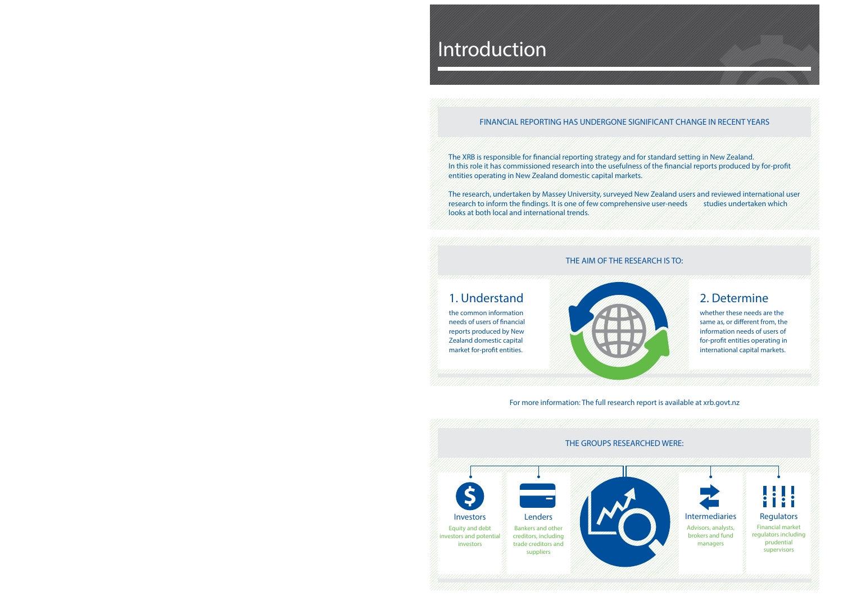For more information: The full research report is available at xrb.govt.nz

### FINANCIAL REPORTING HAS UNDERGONE SIGNIFICANT CHANGE IN RECENT YEARS

## Introduction

### THE AIM OF THE RESEARCH IS TO:

## 1. Understand

the common information needs of users of financial reports produced by New Zealand domestic capital market for-profit entities.



The XRB is responsible for financial reporting strategy and for standard setting in New Zealand. In this role it has commissioned research into the usefulness of the financial reports produced by for-profit entities operating in New Zealand domestic capital markets.



The research, undertaken by Massey University, surveyed New Zealand users and reviewed international user research to inform the findings. It is one of few comprehensive user-needs //// studies undertaken which looks at both local and international trends.

## 2. Determine

whether these needs are the same as, or different from, the information needs of users of for-profit entities operating in international capital markets.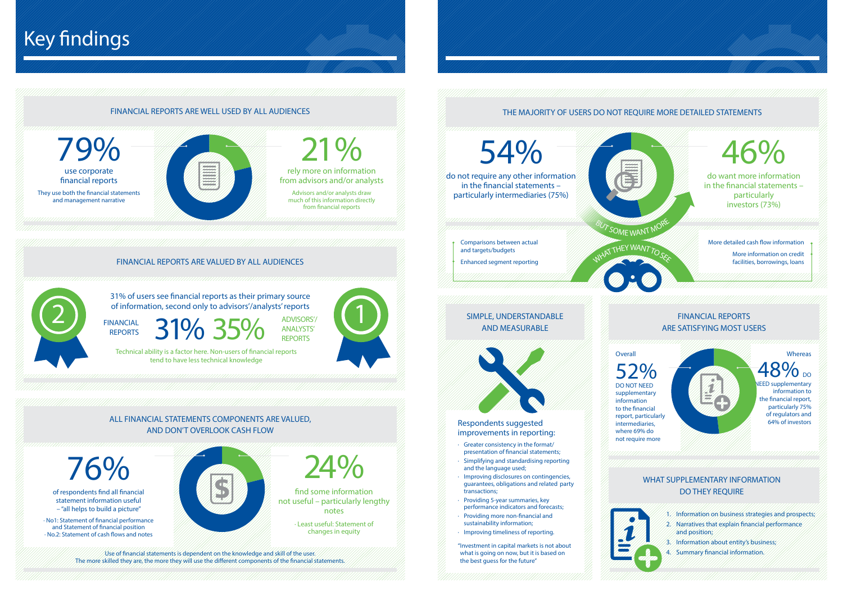### FINANCIAL REPORTS ARE WELL USED BY ALL AUDIENCES

31% of users see financial reports as their primary source of information, second only to advisors'/analysts' reports<br>
REPORTS 31% 25% ANALYSTS'

## Key findings

### FINANCIAL REPORTS ARE VALUED BY ALL AUDIENCES



rely more on information from advisors and/or analysts 21% Advisors and/or analysts draw much of this information directly from financial reports

31% 35 FINANCIAL

ADVISORS'/ ANALYSTS' REPORTS

use corporate financial reports 79% They use both the financial statements and management narrative



Technical ability is a factor here. Non-users of financial reports tend to have less technical knowledge

> find some information not useful – particularly lengthy notes 24%

> > · Least useful: Statement of changes in equity

of respondents find all financial statement information useful – "all helps to build a picture"

76%

 $\%$ do not require any other information in the financial statements – particularly intermediaries (75%) 54%

· No1: Statement of financial performance and Statement of financial position · No.2: Statement of cash flows and notes



### ALL FINANCIAL STATEMENTS COMPONENTS ARE VALUED, AND DON'T OVERLOOK CASH FLOW

Use of financial statements is dependent on the knowledge and skill of the user. The more skilled they are, the more they will use the different components of the financial statements.

### WHAT SUPPLEMENTARY INFORMATION DO THEY REQUIRE

- Greater consistency in the format/ presentation of financial statements;
- · Simplifying and standardising reporting and the language used;
- · Improving disclosures on contingencies, guarantees, obligations and related party transactions;
- · Providing 5-year summaries, key performance indicators and forecasts;
- · Providing more non-financial and sustainability information;
- · Improving timeliness of reporting.
- "Investment in capital markets is not about what is going on now, but it is based on the best guess for the future"

### THE MAJORITY OF USERS DO NOT REQUIRE MORE DETAILED STATEMENTS

**EED supplementary** information to the financial report, particularly 75% of regulators and 64% of investors

- 1. Information on business strategies and prospects; 2. Narratives that explain financial performance and position;
- 3. Information about entity's business;
- 4. Summary financial information.

### SIMPLE, UNDERSTANDABLE AND MEASURABLE





### FINANCIAL REPORTS ARE SATISFYING MOST USERS

Comparisons between actual and targets/budgets Enhanced segment reporting

Respondents suggested improvements in reporting:

52% DO NOT NEED supplementary information to the financial intermediaries, where 69% do

**Overall** 



report, particularly not require more



### **Whereas**

## 48% DO